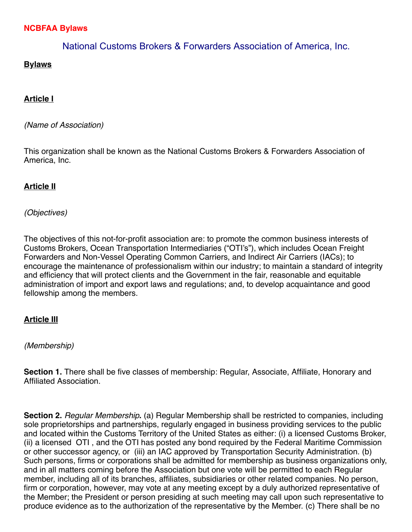# **NCBFAA Bylaws**

# National Customs Brokers & Forwarders Association of America, Inc.

# **Bylaws**

## **Article I**

#### *(Name of Association)*

This organization shall be known as the National Customs Brokers & Forwarders Association of America, Inc.

# **Article II**

## *(Objectives)*

The objectives of this not-for-profit association are: to promote the common business interests of Customs Brokers, Ocean Transportation Intermediaries ("OTI's"), which includes Ocean Freight Forwarders and Non-Vessel Operating Common Carriers, and Indirect Air Carriers (IACs); to encourage the maintenance of professionalism within our industry; to maintain a standard of integrity and efficiency that will protect clients and the Government in the fair, reasonable and equitable administration of import and export laws and regulations; and, to develop acquaintance and good fellowship among the members.

## **Article III**

#### *(Membership)*

**Section 1.** There shall be five classes of membership: Regular, Associate, Affiliate, Honorary and Affiliated Association.

**Section 2.** *Regular Membership***.** (a) Regular Membership shall be restricted to companies, including sole proprietorships and partnerships, regularly engaged in business providing services to the public and located within the Customs Territory of the United States as either: (i) a licensed Customs Broker, (ii) a licensed OTI , and the OTI has posted any bond required by the Federal Maritime Commission or other successor agency, or (iii) an IAC approved by Transportation Security Administration. (b) Such persons, firms or corporations shall be admitted for membership as business organizations only, and in all matters coming before the Association but one vote will be permitted to each Regular member, including all of its branches, affiliates, subsidiaries or other related companies. No person, firm or corporation, however, may vote at any meeting except by a duly authorized representative of the Member; the President or person presiding at such meeting may call upon such representative to produce evidence as to the authorization of the representative by the Member. (c) There shall be no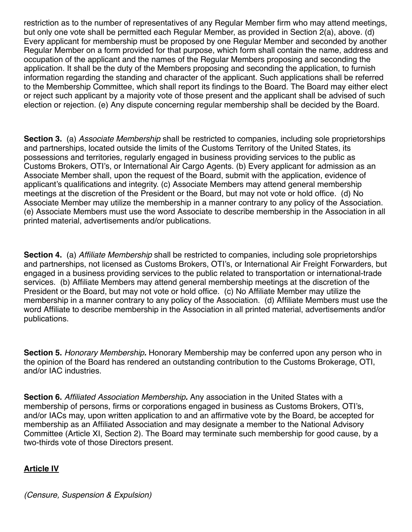restriction as to the number of representatives of any Regular Member firm who may attend meetings, but only one vote shall be permitted each Regular Member, as provided in Section 2(a), above. (d) Every applicant for membership must be proposed by one Regular Member and seconded by another Regular Member on a form provided for that purpose, which form shall contain the name, address and occupation of the applicant and the names of the Regular Members proposing and seconding the application. It shall be the duty of the Members proposing and seconding the application, to furnish information regarding the standing and character of the applicant. Such applications shall be referred to the Membership Committee, which shall report its findings to the Board. The Board may either elect or reject such applicant by a majority vote of those present and the applicant shall be advised of such election or rejection. (e) Any dispute concerning regular membership shall be decided by the Board.

**Section 3.** (a) *Associate Membership* shall be restricted to companies, including sole proprietorships and partnerships, located outside the limits of the Customs Territory of the United States, its possessions and territories, regularly engaged in business providing services to the public as Customs Brokers, OTI's, or International Air Cargo Agents. (b) Every applicant for admission as an Associate Member shall, upon the request of the Board, submit with the application, evidence of applicant's qualifications and integrity. (c) Associate Members may attend general membership meetings at the discretion of the President or the Board, but may not vote or hold office. (d) No Associate Member may utilize the membership in a manner contrary to any policy of the Association. (e) Associate Members must use the word Associate to describe membership in the Association in all printed material, advertisements and/or publications.

**Section 4.** (a) *Affiliate Membership* shall be restricted to companies, including sole proprietorships and partnerships, not licensed as Customs Brokers, OTI's, or International Air Freight Forwarders, but engaged in a business providing services to the public related to transportation or international-trade services. (b) Affiliate Members may attend general membership meetings at the discretion of the President or the Board, but may not vote or hold office. (c) No Affiliate Member may utilize the membership in a manner contrary to any policy of the Association. (d) Affiliate Members must use the word Affiliate to describe membership in the Association in all printed material, advertisements and/or publications.

**Section 5.** *Honorary Membership.* Honorary Membership may be conferred upon any person who in the opinion of the Board has rendered an outstanding contribution to the Customs Brokerage, OTI, and/or IAC industries.

**Section 6.** *Affiliated Association Membership.* Any association in the United States with a membership of persons, firms or corporations engaged in business as Customs Brokers, OTI's, and/or IACs may, upon written application to and an affirmative vote by the Board, be accepted for membership as an Affiliated Association and may designate a member to the National Advisory Committee (Article XI, Section 2). The Board may terminate such membership for good cause, by a two-thirds vote of those Directors present.

## **Article IV**

*(Censure, Suspension & Expulsion)*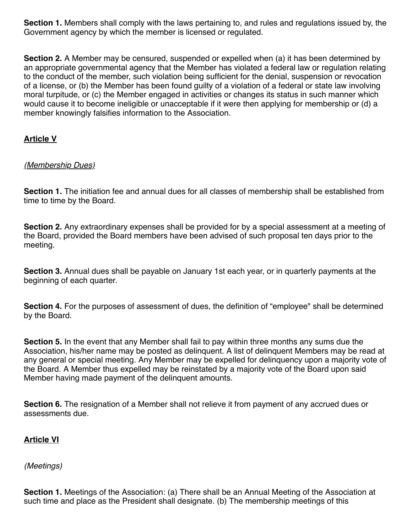**Section 1.** Members shall comply with the laws pertaining to, and rules and regulations issued by, the Government agency by which the member is licensed or regulated.

**Section 2.** A Member may be censured, suspended or expelled when (a) it has been determined by an appropriate governmental agency that the Member has violated a federal law or regulation relating to the conduct of the member, such violation being sufficient for the denial, suspension or revocation of a license, or (b) the Member has been found guilty of a violation of a federal or state law involving moral turpitude, or (c) the Member engaged in activities or changes its status in such manner which would cause it to become ineligible or unacceptable if it were then applying for membership or (d) a member knowingly falsifies information to the Association.

## **Article V**

## *(Membership Dues)*

**Section 1.** The initiation fee and annual dues for all classes of membership shall be established from time to time by the Board.

**Section 2.** Any extraordinary expenses shall be provided for by a special assessment at a meeting of the Board, provided the Board members have been advised of such proposal ten days prior to the meeting.

**Section 3.** Annual dues shall be payable on January 1st each year, or in quarterly payments at the beginning of each quarter.

**Section 4.** For the purposes of assessment of dues, the definition of "employee" shall be determined by the Board.

**Section 5.** In the event that any Member shall fail to pay within three months any sums due the Association, his/her name may be posted as delinquent. A list of delinquent Members may be read at any general or special meeting. Any Member may be expelled for delinquency upon a majority vote of the Board. A Member thus expelled may be reinstated by a majority vote of the Board upon said Member having made payment of the delinquent amounts.

**Section 6.** The resignation of a Member shall not relieve it from payment of any accrued dues or assessments due.

## **Article VI**

*(Meetings)*

**Section 1.** Meetings of the Association: (a) There shall be an Annual Meeting of the Association at such time and place as the President shall designate. (b) The membership meetings of this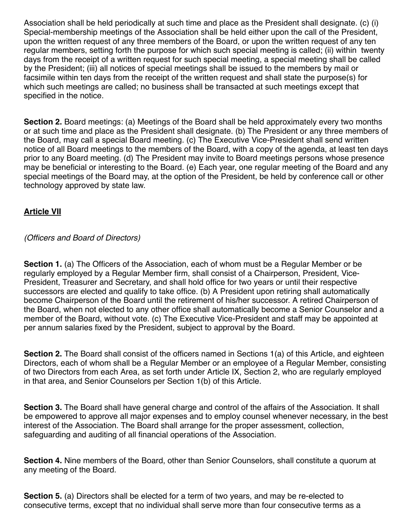Association shall be held periodically at such time and place as the President shall designate. (c) (i) Special-membership meetings of the Association shall be held either upon the call of the President, upon the written request of any three members of the Board, or upon the written request of any ten regular members, setting forth the purpose for which such special meeting is called; (ii) within twenty days from the receipt of a written request for such special meeting, a special meeting shall be called by the President; (iii) all notices of special meetings shall be issued to the members by mail or facsimile within ten days from the receipt of the written request and shall state the purpose(s) for which such meetings are called; no business shall be transacted at such meetings except that specified in the notice.

**Section 2.** Board meetings: (a) Meetings of the Board shall be held approximately every two months or at such time and place as the President shall designate. (b) The President or any three members of the Board, may call a special Board meeting. (c) The Executive Vice-President shall send written notice of all Board meetings to the members of the Board, with a copy of the agenda, at least ten days prior to any Board meeting. (d) The President may invite to Board meetings persons whose presence may be beneficial or interesting to the Board. (e) Each year, one regular meeting of the Board and any special meetings of the Board may, at the option of the President, be held by conference call or other technology approved by state law.

## **Article VII**

*(Officers and Board of Directors)*

**Section 1.** (a) The Officers of the Association, each of whom must be a Regular Member or be regularly employed by a Regular Member firm, shall consist of a Chairperson, President, Vice-President, Treasurer and Secretary, and shall hold office for two years or until their respective successors are elected and qualify to take office. (b) A President upon retiring shall automatically become Chairperson of the Board until the retirement of his/her successor. A retired Chairperson of the Board, when not elected to any other office shall automatically become a Senior Counselor and a member of the Board, without vote. (c) The Executive Vice-President and staff may be appointed at per annum salaries fixed by the President, subject to approval by the Board.

**Section 2.** The Board shall consist of the officers named in Sections 1(a) of this Article, and eighteen Directors, each of whom shall be a Regular Member or an employee of a Regular Member, consisting of two Directors from each Area, as set forth under Article IX, Section 2, who are regularly employed in that area, and Senior Counselors per Section 1(b) of this Article.

**Section 3.** The Board shall have general charge and control of the affairs of the Association. It shall be empowered to approve all major expenses and to employ counsel whenever necessary, in the best interest of the Association. The Board shall arrange for the proper assessment, collection, safeguarding and auditing of all financial operations of the Association.

**Section 4.** Nine members of the Board, other than Senior Counselors, shall constitute a quorum at any meeting of the Board.

**Section 5.** (a) Directors shall be elected for a term of two years, and may be re-elected to consecutive terms, except that no individual shall serve more than four consecutive terms as a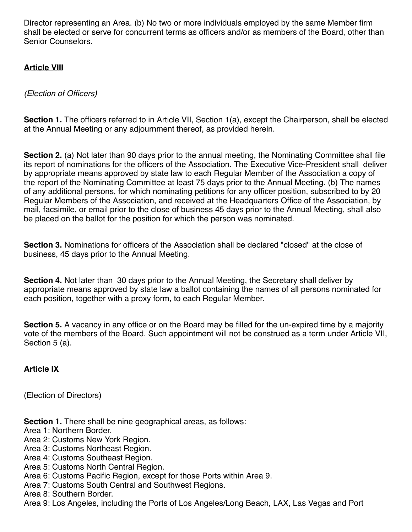Director representing an Area. (b) No two or more individuals employed by the same Member firm shall be elected or serve for concurrent terms as officers and/or as members of the Board, other than Senior Counselors.

## **Article VIII**

*(Election of Officers)*

**Section 1.** The officers referred to in Article VII, Section 1(a), except the Chairperson, shall be elected at the Annual Meeting or any adjournment thereof, as provided herein.

**Section 2.** (a) Not later than 90 days prior to the annual meeting, the Nominating Committee shall file its report of nominations for the officers of the Association. The Executive Vice-President shall deliver by appropriate means approved by state law to each Regular Member of the Association a copy of the report of the Nominating Committee at least 75 days prior to the Annual Meeting. (b) The names of any additional persons, for which nominating petitions for any officer position, subscribed to by 20 Regular Members of the Association, and received at the Headquarters Office of the Association, by mail, facsimile, or email prior to the close of business 45 days prior to the Annual Meeting, shall also be placed on the ballot for the position for which the person was nominated.

**Section 3.** Nominations for officers of the Association shall be declared "closed" at the close of business, 45 days prior to the Annual Meeting.

**Section 4.** Not later than 30 days prior to the Annual Meeting, the Secretary shall deliver by appropriate means approved by state law a ballot containing the names of all persons nominated for each position, together with a proxy form, to each Regular Member.

**Section 5.** A vacancy in any office or on the Board may be filled for the un-expired time by a majority vote of the members of the Board. Such appointment will not be construed as a term under Article VII, Section 5 (a).

**Article IX**

(Election of Directors)

**Section 1.** There shall be nine geographical areas, as follows:

Area 1: Northern Border.

Area 2: Customs New York Region.

Area 3: Customs Northeast Region.

Area 4: Customs Southeast Region.

Area 5: Customs North Central Region.

Area 6: Customs Pacific Region, except for those Ports within Area 9.

Area 7: Customs South Central and Southwest Regions.

Area 8: Southern Border.

Area 9: Los Angeles, including the Ports of Los Angeles/Long Beach, LAX, Las Vegas and Port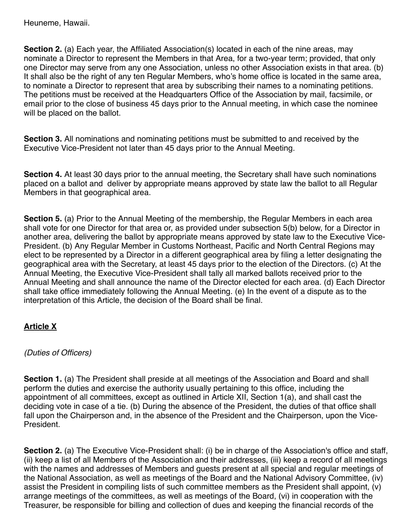**Section 2.** (a) Each year, the Affiliated Association(s) located in each of the nine areas, may nominate a Director to represent the Members in that Area, for a two-year term; provided, that only one Director may serve from any one Association, unless no other Association exists in that area. (b) It shall also be the right of any ten Regular Members, who's home office is located in the same area, to nominate a Director to represent that area by subscribing their names to a nominating petitions. The petitions must be received at the Headquarters Office of the Association by mail, facsimile, or email prior to the close of business 45 days prior to the Annual meeting, in which case the nominee will be placed on the ballot.

**Section 3.** All nominations and nominating petitions must be submitted to and received by the Executive Vice-President not later than 45 days prior to the Annual Meeting.

**Section 4.** At least 30 days prior to the annual meeting, the Secretary shall have such nominations placed on a ballot and deliver by appropriate means approved by state law the ballot to all Regular Members in that geographical area.

**Section 5.** (a) Prior to the Annual Meeting of the membership, the Regular Members in each area shall vote for one Director for that area or, as provided under subsection 5(b) below, for a Director in another area, delivering the ballot by appropriate means approved by state law to the Executive Vice-President. (b) Any Regular Member in Customs Northeast, Pacific and North Central Regions may elect to be represented by a Director in a different geographical area by filing a letter designating the geographical area with the Secretary, at least 45 days prior to the election of the Directors. (c) At the Annual Meeting, the Executive Vice-President shall tally all marked ballots received prior to the Annual Meeting and shall announce the name of the Director elected for each area. (d) Each Director shall take office immediately following the Annual Meeting. (e) In the event of a dispute as to the interpretation of this Article, the decision of the Board shall be final.

# **Article X**

## *(Duties of Officers)*

**Section 1.** (a) The President shall preside at all meetings of the Association and Board and shall perform the duties and exercise the authority usually pertaining to this office, including the appointment of all committees, except as outlined in Article XII, Section 1(a), and shall cast the deciding vote in case of a tie. (b) During the absence of the President, the duties of that office shall fall upon the Chairperson and, in the absence of the President and the Chairperson, upon the Vice-President.

**Section 2.** (a) The Executive Vice-President shall: (i) be in charge of the Association's office and staff, (ii) keep a list of all Members of the Association and their addresses, (iii) keep a record of all meetings with the names and addresses of Members and guests present at all special and regular meetings of the National Association, as well as meetings of the Board and the National Advisory Committee, (iv) assist the President in compiling lists of such committee members as the President shall appoint, (v) arrange meetings of the committees, as well as meetings of the Board, (vi) in cooperation with the Treasurer, be responsible for billing and collection of dues and keeping the financial records of the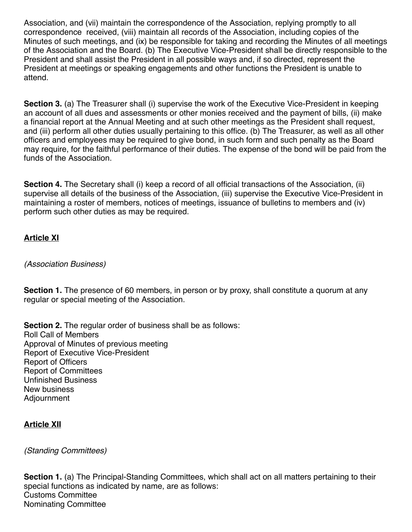Association, and (vii) maintain the correspondence of the Association, replying promptly to all correspondence received, (viii) maintain all records of the Association, including copies of the Minutes of such meetings, and (ix) be responsible for taking and recording the Minutes of all meetings of the Association and the Board. (b) The Executive Vice-President shall be directly responsible to the President and shall assist the President in all possible ways and, if so directed, represent the President at meetings or speaking engagements and other functions the President is unable to attend.

**Section 3.** (a) The Treasurer shall (i) supervise the work of the Executive Vice-President in keeping an account of all dues and assessments or other monies received and the payment of bills, (ii) make a financial report at the Annual Meeting and at such other meetings as the President shall request, and (iii) perform all other duties usually pertaining to this office. (b) The Treasurer, as well as all other officers and employees may be required to give bond, in such form and such penalty as the Board may require, for the faithful performance of their duties. The expense of the bond will be paid from the funds of the Association.

**Section 4.** The Secretary shall (i) keep a record of all official transactions of the Association, (ii) supervise all details of the business of the Association, (iii) supervise the Executive Vice-President in maintaining a roster of members, notices of meetings, issuance of bulletins to members and (iv) perform such other duties as may be required.

# **Article XI**

#### *(Association Business)*

**Section 1.** The presence of 60 members, in person or by proxy, shall constitute a quorum at any regular or special meeting of the Association.

**Section 2.** The regular order of business shall be as follows: Roll Call of Members Approval of Minutes of previous meeting Report of Executive Vice-President Report of Officers Report of Committees Unfinished Business New business Adjournment

## **Article XII**

## *(Standing Committees)*

**Section 1.** (a) The Principal-Standing Committees, which shall act on all matters pertaining to their special functions as indicated by name, are as follows: Customs Committee Nominating Committee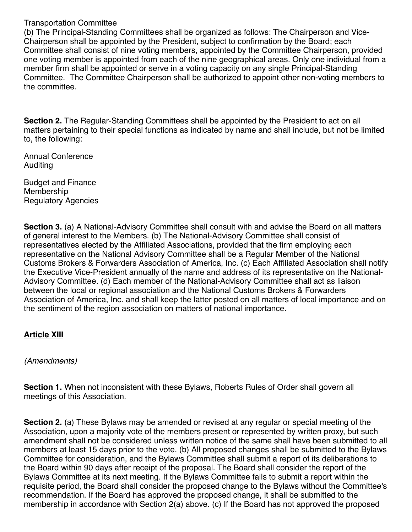#### Transportation Committee

(b) The Principal-Standing Committees shall be organized as follows: The Chairperson and Vice-Chairperson shall be appointed by the President, subject to confirmation by the Board; each Committee shall consist of nine voting members, appointed by the Committee Chairperson, provided one voting member is appointed from each of the nine geographical areas. Only one individual from a member firm shall be appointed or serve in a voting capacity on any single Principal-Standing Committee. The Committee Chairperson shall be authorized to appoint other non-voting members to the committee.

**Section 2.** The Regular-Standing Committees shall be appointed by the President to act on all matters pertaining to their special functions as indicated by name and shall include, but not be limited to, the following:

Annual Conference Auditing

Budget and Finance Membership Regulatory Agencies

**Section 3.** (a) A National-Advisory Committee shall consult with and advise the Board on all matters of general interest to the Members. (b) The National-Advisory Committee shall consist of representatives elected by the Affiliated Associations, provided that the firm employing each representative on the National Advisory Committee shall be a Regular Member of the National Customs Brokers & Forwarders Association of America, Inc. (c) Each Affiliated Association shall notify the Executive Vice-President annually of the name and address of its representative on the National-Advisory Committee. (d) Each member of the National-Advisory Committee shall act as liaison between the local or regional association and the National Customs Brokers & Forwarders Association of America, Inc. and shall keep the latter posted on all matters of local importance and on the sentiment of the region association on matters of national importance.

## **Article XIII**

*(Amendments)*

**Section 1.** When not inconsistent with these Bylaws, Roberts Rules of Order shall govern all meetings of this Association.

**Section 2.** (a) These Bylaws may be amended or revised at any regular or special meeting of the Association, upon a majority vote of the members present or represented by written proxy, but such amendment shall not be considered unless written notice of the same shall have been submitted to all members at least 15 days prior to the vote. (b) All proposed changes shall be submitted to the Bylaws Committee for consideration, and the Bylaws Committee shall submit a report of its deliberations to the Board within 90 days after receipt of the proposal. The Board shall consider the report of the Bylaws Committee at its next meeting. If the Bylaws Committee fails to submit a report within the requisite period, the Board shall consider the proposed change to the Bylaws without the Committee's recommendation. If the Board has approved the proposed change, it shall be submitted to the membership in accordance with Section 2(a) above. (c) If the Board has not approved the proposed